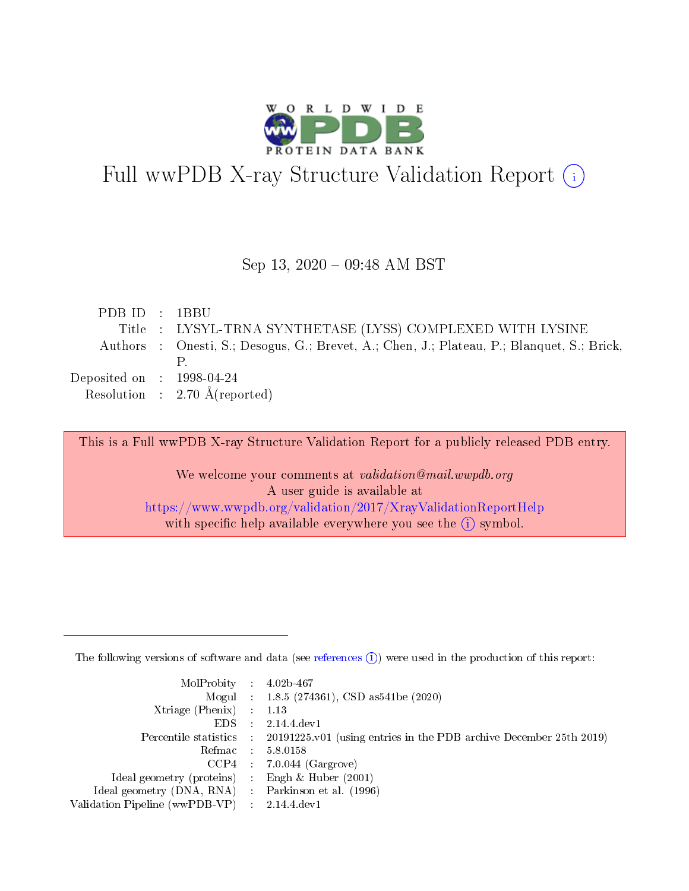

# Full wwPDB X-ray Structure Validation Report (i)

#### Sep 13, 2020 - 09:48 AM BST

| PDB ID : 1BBU                        |                                                                                            |
|--------------------------------------|--------------------------------------------------------------------------------------------|
|                                      | Title : LYSYL-TRNA SYNTHETASE (LYSS) COMPLEXED WITH LYSINE                                 |
|                                      | Authors : Onesti, S.; Desogus, G.; Brevet, A.; Chen, J.; Plateau, P.; Blanquet, S.; Brick, |
|                                      |                                                                                            |
| Deposited on $\therefore$ 1998-04-24 |                                                                                            |
|                                      | Resolution : $2.70 \text{ Å}$ (reported)                                                   |

This is a Full wwPDB X-ray Structure Validation Report for a publicly released PDB entry.

We welcome your comments at validation@mail.wwpdb.org A user guide is available at <https://www.wwpdb.org/validation/2017/XrayValidationReportHelp> with specific help available everywhere you see the  $(i)$  symbol.

The following versions of software and data (see [references](https://www.wwpdb.org/validation/2017/XrayValidationReportHelp#references)  $(1)$ ) were used in the production of this report:

| $MolProbability$ : 4.02b-467                        |                                                                                            |
|-----------------------------------------------------|--------------------------------------------------------------------------------------------|
|                                                     | Mogul : $1.8.5$ (274361), CSD as 541be (2020)                                              |
| Xtriage (Phenix) $: 1.13$                           |                                                                                            |
| EDS                                                 | 2.14.4 dev1                                                                                |
|                                                     | Percentile statistics : 20191225.v01 (using entries in the PDB archive December 25th 2019) |
| Refmac : 5.8.0158                                   |                                                                                            |
| $CCP4$ :                                            | $7.0.044$ (Gargrove)                                                                       |
| Ideal geometry (proteins) :                         | Engh $\&$ Huber (2001)                                                                     |
| Ideal geometry (DNA, RNA) : Parkinson et al. (1996) |                                                                                            |
| Validation Pipeline (wwPDB-VP) : 2.14.4.dev1        |                                                                                            |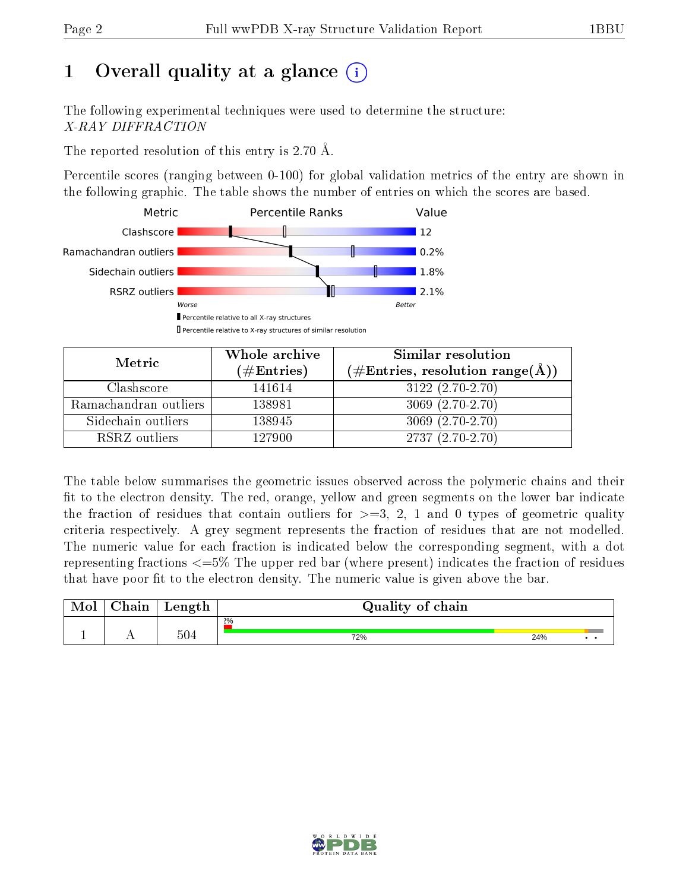# 1 [O](https://www.wwpdb.org/validation/2017/XrayValidationReportHelp#overall_quality)verall quality at a glance  $(i)$

The following experimental techniques were used to determine the structure: X-RAY DIFFRACTION

The reported resolution of this entry is 2.70 Å.

Percentile scores (ranging between 0-100) for global validation metrics of the entry are shown in the following graphic. The table shows the number of entries on which the scores are based.



| Metric                | Whole archive<br>$(\#\text{Entries})$ | Similar resolution<br>$(\#\text{Entries}, \text{resolution range}(\text{\AA}))$ |
|-----------------------|---------------------------------------|---------------------------------------------------------------------------------|
| Clashscore            | 141614                                | $3122(2.70-2.70)$                                                               |
| Ramachandran outliers | 138981                                | $3069(2.70-2.70)$                                                               |
| Sidechain outliers    | 138945                                | $3069(2.70-2.70)$                                                               |
| RSRZ outliers         | 127900                                | $2737(2.70-2.70)$                                                               |

The table below summarises the geometric issues observed across the polymeric chains and their fit to the electron density. The red, orange, yellow and green segments on the lower bar indicate the fraction of residues that contain outliers for  $\geq=3$ , 2, 1 and 0 types of geometric quality criteria respectively. A grey segment represents the fraction of residues that are not modelled. The numeric value for each fraction is indicated below the corresponding segment, with a dot representing fractions  $\epsilon = 5\%$  The upper red bar (where present) indicates the fraction of residues that have poor fit to the electron density. The numeric value is given above the bar.

| $\gamma$ hain | Length | Quality of chain |     |  |
|---------------|--------|------------------|-----|--|
|               |        | $2\%$            |     |  |
|               | 504    | 72%              | 24% |  |

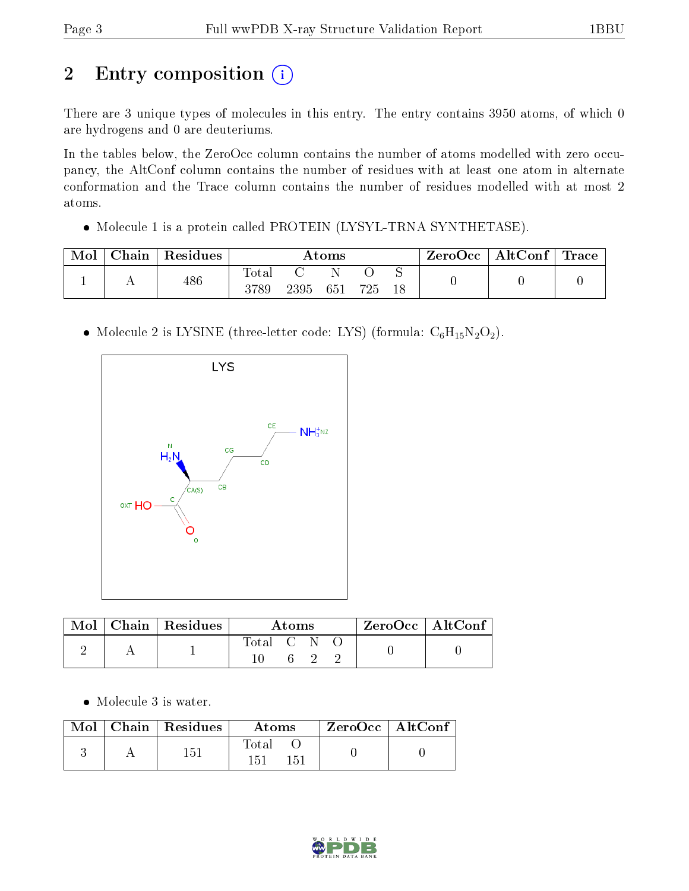# 2 Entry composition (i)

There are 3 unique types of molecules in this entry. The entry contains 3950 atoms, of which 0 are hydrogens and 0 are deuteriums.

In the tables below, the ZeroOcc column contains the number of atoms modelled with zero occupancy, the AltConf column contains the number of residues with at least one atom in alternate conformation and the Trace column contains the number of residues modelled with at most 2 atoms.

Molecule 1 is a protein called PROTEIN (LYSYL-TRNA SYNTHETASE).

| Mol | Chain | Residues | Atoms         |      |     |     |    | ZeroOcc | $\vert$ AltConf $\vert$ | $^\shortparallel$ Trace |
|-----|-------|----------|---------------|------|-----|-----|----|---------|-------------------------|-------------------------|
|     |       | 486      | Tota.<br>3789 | 2395 | 651 | 725 | 18 |         |                         |                         |

• Molecule 2 is LYSINE (three-letter code: LYS) (formula:  $C_6H_{15}N_2O_2$ ).



|  | $\text{Mol}$   Chain   Residues | Atoms.      |  |  | $ZeroOcc \   \ AltConf \$ |  |
|--|---------------------------------|-------------|--|--|---------------------------|--|
|  |                                 | Total C N O |  |  |                           |  |

• Molecule 3 is water.

|  | $\blacksquare$ Mol $\vert$ Chain $\vert$ Residues $\vert$ | Atoms               | ZeroOcc   AltConf |  |
|--|-----------------------------------------------------------|---------------------|-------------------|--|
|  | 151                                                       | Total<br>151<br>151 |                   |  |

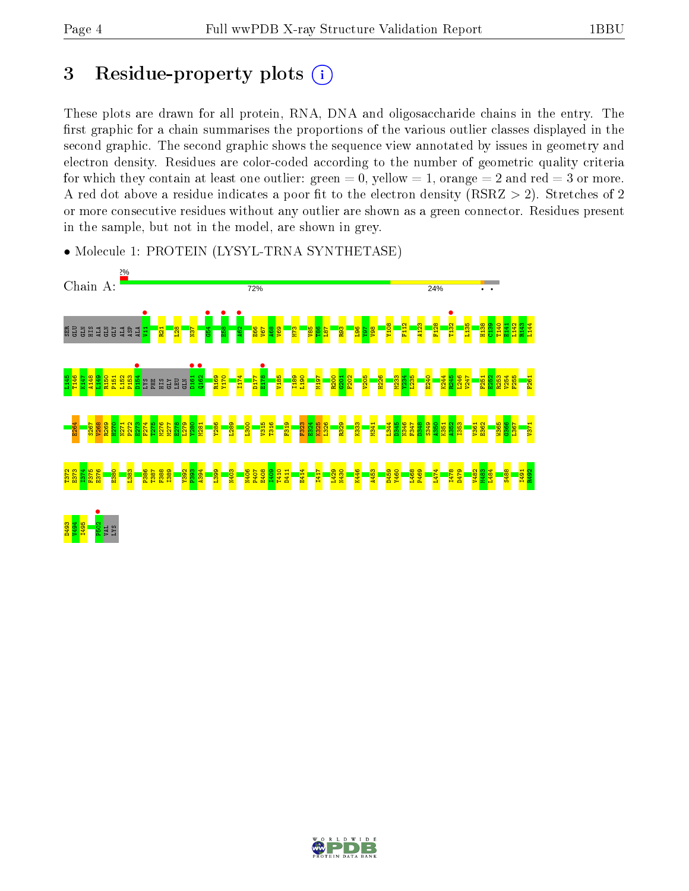# 3 Residue-property plots  $(i)$

These plots are drawn for all protein, RNA, DNA and oligosaccharide chains in the entry. The first graphic for a chain summarises the proportions of the various outlier classes displayed in the second graphic. The second graphic shows the sequence view annotated by issues in geometry and electron density. Residues are color-coded according to the number of geometric quality criteria for which they contain at least one outlier: green  $= 0$ , yellow  $= 1$ , orange  $= 2$  and red  $= 3$  or more. A red dot above a residue indicates a poor fit to the electron density ( $RSRZ > 2$ ). Stretches of 2 or more consecutive residues without any outlier are shown as a green connector. Residues present in the sample, but not in the model, are shown in grey.



• Molecule 1: PROTEIN (LYSYL-TRNA SYNTHETASE)

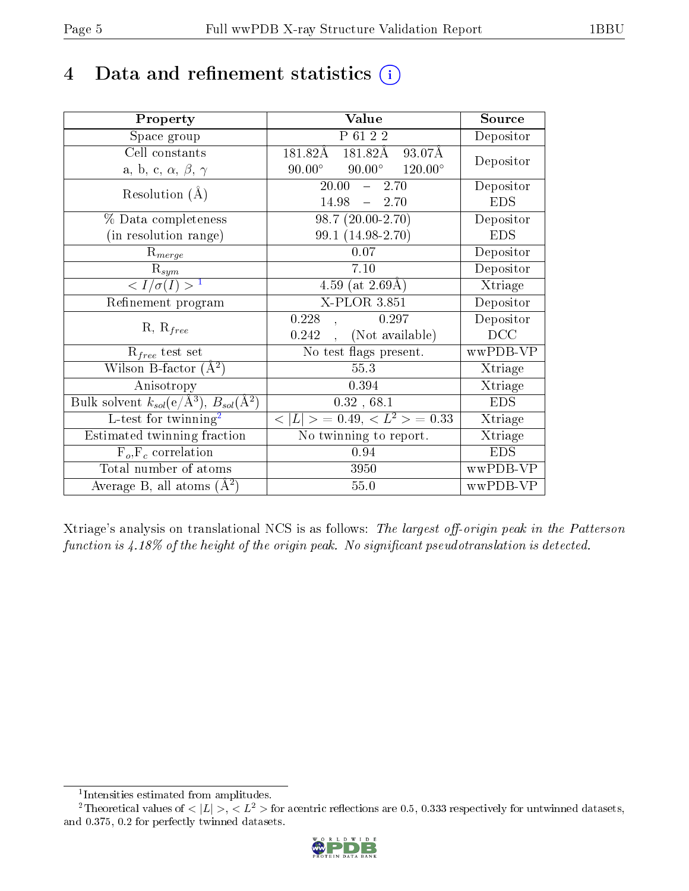# 4 Data and refinement statistics  $(i)$

| Property                                                                | Value                                            | Source         |
|-------------------------------------------------------------------------|--------------------------------------------------|----------------|
| Space group                                                             | P 61 2 2                                         | Depositor      |
| Cell constants                                                          | 181.82Å<br>181.82Å<br>93.07Å                     |                |
| a, b, c, $\alpha$ , $\beta$ , $\gamma$                                  | $90.00^\circ$<br>$90.00^\circ$<br>$120.00^\circ$ | Depositor      |
| Resolution $(A)$                                                        | 20.00<br>2.70<br>$\frac{1}{2}$                   | Depositor      |
|                                                                         | $14.98 - 2.70$                                   | <b>EDS</b>     |
| % Data completeness                                                     | $98.7(20.00-2.70)$                               | Depositor      |
| (in resolution range)                                                   | 99.1 (14.98-2.70)                                | <b>EDS</b>     |
| $R_{merge}$                                                             | $0.07\,$                                         | Depositor      |
| $\mathrm{R}_{sym}$                                                      | 7.10                                             | Depositor      |
| $\overline{1$                                                           | 4.59 (at $2.69\text{\AA}$ )                      | Xtriage        |
| Refinement program                                                      | X-PLOR 3.851                                     | Depositor      |
|                                                                         | 0.228<br>0.297                                   | Depositor      |
| $R, R_{free}$                                                           | (Not available)<br>0.242                         | DCC            |
| $R_{free}$ test set                                                     | No test flags present.                           | wwPDB-VP       |
| Wilson B-factor $(A^2)$                                                 | 55.3                                             | Xtriage        |
| Anisotropy                                                              | 0.394                                            | Xtriage        |
| Bulk solvent $k_{sol}(\mathrm{e}/\mathrm{A}^3),\,B_{sol}(\mathrm{A}^2)$ | 0.32, 68.1                                       | <b>EDS</b>     |
| L-test for $\mathrm{twinning}^2$                                        | $< L >$ = 0.49, $< L2$ = 0.33                    | Xtriage        |
| Estimated twinning fraction                                             | No twinning to report.                           | <b>Xtriage</b> |
| $F_o, F_c$ correlation                                                  | 0.94                                             | <b>EDS</b>     |
| Total number of atoms                                                   | 3950                                             | wwPDB-VP       |
| Average B, all atoms $(A^2)$                                            | 55.0                                             | wwPDB-VP       |

Xtriage's analysis on translational NCS is as follows: The largest off-origin peak in the Patterson function is  $4.18\%$  of the height of the origin peak. No significant pseudotranslation is detected.

<sup>&</sup>lt;sup>2</sup>Theoretical values of  $\langle |L| \rangle$ ,  $\langle L^2 \rangle$  for acentric reflections are 0.5, 0.333 respectively for untwinned datasets, and 0.375, 0.2 for perfectly twinned datasets.



<span id="page-4-1"></span><span id="page-4-0"></span><sup>1</sup> Intensities estimated from amplitudes.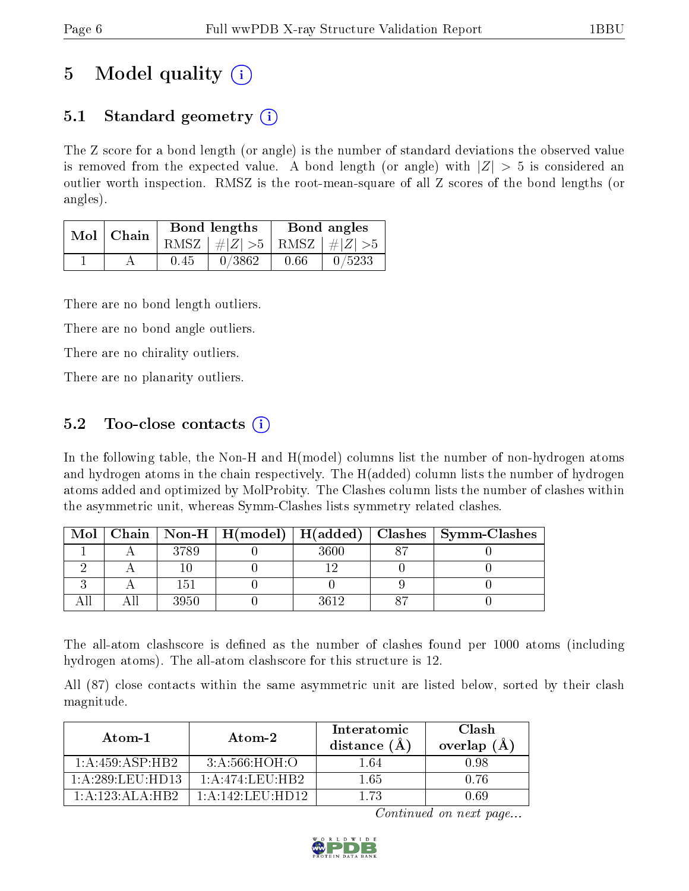# 5 Model quality  $(i)$

### 5.1 Standard geometry (i)

The Z score for a bond length (or angle) is the number of standard deviations the observed value is removed from the expected value. A bond length (or angle) with  $|Z| > 5$  is considered an outlier worth inspection. RMSZ is the root-mean-square of all Z scores of the bond lengths (or angles).

|  | Mol   Chain |      | Bond lengths                    | Bond angles |        |  |
|--|-------------|------|---------------------------------|-------------|--------|--|
|  |             |      | RMSZ $ #Z  > 5$ RMSZ $ #Z  > 5$ |             |        |  |
|  |             | 0.45 | 0/3862                          | 0.66        | 0/5233 |  |

There are no bond length outliers.

There are no bond angle outliers.

There are no chirality outliers.

There are no planarity outliers.

### 5.2 Too-close contacts  $\overline{()}$

In the following table, the Non-H and H(model) columns list the number of non-hydrogen atoms and hydrogen atoms in the chain respectively. The H(added) column lists the number of hydrogen atoms added and optimized by MolProbity. The Clashes column lists the number of clashes within the asymmetric unit, whereas Symm-Clashes lists symmetry related clashes.

| Mol |      |      | Chain   Non-H   $H(model)$   $H(added)$   Clashes   Symm-Clashes |
|-----|------|------|------------------------------------------------------------------|
|     | 3789 | 3600 |                                                                  |
|     |      |      |                                                                  |
|     | 15.  |      |                                                                  |
|     | 3950 | 3619 |                                                                  |

The all-atom clashscore is defined as the number of clashes found per 1000 atoms (including hydrogen atoms). The all-atom clashscore for this structure is 12.

All (87) close contacts within the same asymmetric unit are listed below, sorted by their clash magnitude.

| Atom-1                   | Atom-2                       | Interatomic<br>distance $(\AA)$ | Clash<br>overlap (Å |
|--------------------------|------------------------------|---------------------------------|---------------------|
| 1:A:459:ASP:HB2          | 3: A:566:HOH:O               | 1.64                            | 0.98                |
| $1:$ A $:$ 289 LEU HD13. | $1:$ A:474:LEU:HB2           | 1.65                            | A 76                |
| 1: A: 123: ALA: HB2      | $1:$ A $:142:$ LEU $:$ HD12. | 1 73                            | ገ 69                |

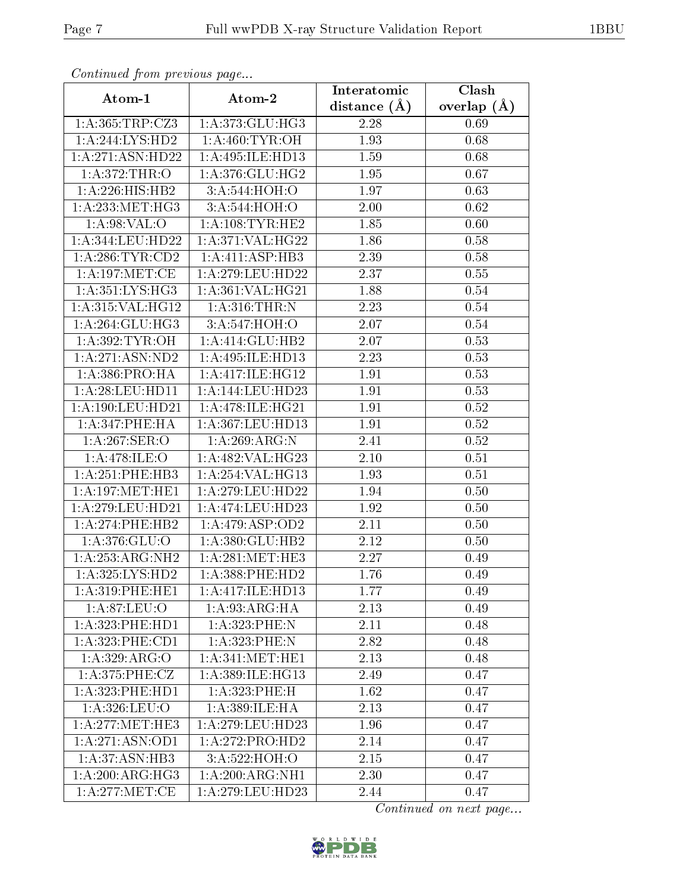| Commuca from previous page            |                                    | Interatomic    | Clash           |
|---------------------------------------|------------------------------------|----------------|-----------------|
| Atom-1                                | Atom-2                             | distance $(A)$ | overlap $(\AA)$ |
| 1: A: 365: TRP: CZ3                   | 1:A:373:GLU:HG3                    | 2.28           | 0.69            |
| 1:A:244:LYS:HD2                       | 1: A:460: TYR:OH                   | 1.93           | 0.68            |
| 1:A:271:ASN:HD22                      | 1:A:495:ILE:HD13                   | 1.59           | 0.68            |
| 1: A:372:THR:O                        | 1:A:376:GLU:HG2                    | 1.95           | 0.67            |
| 1:A:226:HIS:HB2                       | 3:A:544:HOH:O                      | 1.97           | 0.63            |
| 1: A:233:MET:HG3                      | 3:A:544:HOH:O                      | 2.00           | 0.62            |
| 1: A:98: VAL:O                        | 1: A:108:TYR:HE2                   | 1.85           | 0.60            |
| 1:A:344:LEU:HD22                      | 1: A:371: VAL:HG22                 | 1.86           | 0.58            |
| 1: A:286:TYR:CD2                      | 1: A: 411: ASP: HB3                | 2.39           | 0.58            |
| 1: A:197: MET:CE                      | 1: A:279: LEU: HD22                | 2.37           | 0.55            |
| 1:A:351:LYS:HG3                       | 1:A:361:VAL:HG21                   | 1.88           | 0.54            |
| 1:A:315:VAL:HG12                      | 1: A:316:THR:N                     | 2.23           | 0.54            |
| 1: A:264: GLU:HG3                     | 3:A:547:HOH:O                      | 2.07           | 0.54            |
| 1: A:392: TYR: OH                     | 1:A:414:GLU:HB2                    | 2.07           | 0.53            |
| 1:A:271:ASN:ND2                       | 1:A:495:ILE:HD13                   | 2.23           | 0.53            |
| 1: A: 386: PRO: HA                    | 1:A:417:ILE:HG12                   | 1.91           | 0.53            |
| 1:A:28:LEU:HDI1                       | 1:A:144:LEU:HD23                   | 1.91           | 0.53            |
| 1:A:190:LEU:HD21                      | 1: A:478: ILE: HG21                | 1.91           | 0.52            |
| 1:A:347:PHE:HA                        | 1:A:367:LEU:HD13                   | 1.91           | 0.52            |
| 1:A:267:SER:O                         | 1:A:269:ARG:N                      | 2.41           | 0.52            |
| 1:A:478:ILE:O                         | 1:A:482:VAL:HG23                   | 2.10           | 0.51            |
| 1:A:251:PHE:HB3                       | 1: A:254: VAL:HG13                 | 1.93           | 0.51            |
| 1: A:197: MET:HE1                     | 1:A:279:LEU:HD22                   | 1.94           | 0.50            |
| 1:A:279:LEU:HD21                      | 1:A:474:LEU:HD23                   | 1.92           | 0.50            |
| 1:A:274:PHE:HB2                       | 1:A:479:ASP:OD2                    | 2.11           | 0.50            |
| 1:A:376:GLU:O                         | 1:A:380:GLU:HB2                    | 2.12           | 0.50            |
| 1:A:253:ARG:NH2                       | 1: A:281:MET:HE3                   | 2.27           | 0.49            |
| 1: A: 325: LYS: HD2                   | 1: A: 388: PHE: HD2                | 1.76           | 0.49            |
| 1: A:319: PHE: HE1                    | 1:A:417:ILE:HD13                   | 1.77           | 0.49            |
| 1: A:87: LEU:O                        | 1: A:93: ARG:HA                    | 2.13           | 0.49            |
| 1: A:323: PHE: HD1                    | 1: A: 323: PHE: N                  | 2.11           | 0.48            |
| 1: A:323:PHE:CD1                      | 1: A: 323: PHE: N                  | 2.82           | 0.48            |
| 1:A:329:ARG:O                         | 1: A:341:MET:HE1                   | 2.13           | 0.48            |
| 1: A:375: PHE: CZ                     | 1:A:389:ILE:HG13                   | 2.49           | 0.47            |
| 1:A:323:PHE:HD1                       | 1: A:323:PHE:H                     | 1.62           | 0.47            |
| 1: A:326:LEU:O                        | $1:A:389:\overline{\text{ILE:HA}}$ | 2.13           | 0.47            |
| 1:A:277:MET:HE3                       | 1: A:279:LEU:HD23                  | 1.96           | 0.47            |
| 1: A:271: ASN:OD1                     | 1:A:272:PRO:HD2                    | 2.14           | 0.47            |
| 1:A:37:ASN:HB3                        | 3:A:522:HOH:O                      | 2.15           | 0.47            |
| $1:A:200:A\overline{\mathrm{RG:HG3}}$ | 1:A:200:ARG:NH1                    | 2.30           | 0.47            |
| 1: A:277: MET:CE                      | 1:A:279:LEU:HD23                   | 2.44           | 0.47            |

Continued from previous page.

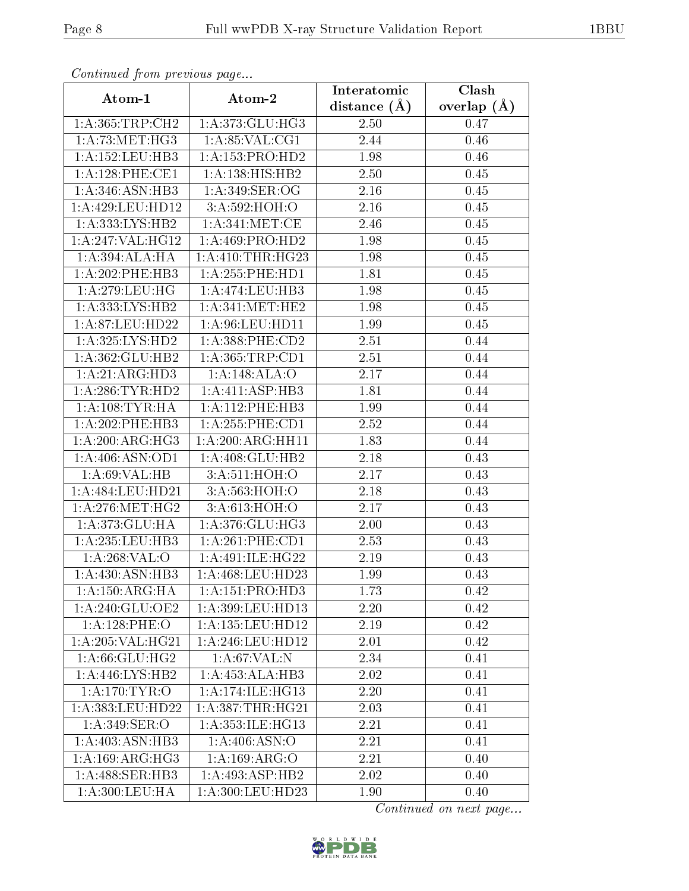| Commaca from previous page             |                      | Interatomic      | Clash         |
|----------------------------------------|----------------------|------------------|---------------|
| Atom-1                                 | Atom-2               | distance $(\AA)$ | overlap $(A)$ |
| 1: A: 365: TRP: CH2                    | 1:A:373:GLU:HG3      | 2.50             | 0.47          |
| 1: A:73:MET:HG3                        | 1:A:85:VAL:CG1       | 2.44             | 0.46          |
| 1: A: 152: LEU: HB3                    | 1:A:153:PRO:HD2      | 1.98             | 0.46          |
| 1: A:128: PHE:CE1                      | 1: A: 138: HIS: HB2  | 2.50             | 0.45          |
| 1: A:346: ASN:HB3                      | 1: A:349: SER:OG     | 2.16             | 0.45          |
| 1:A:429:LEU:HD12                       | 3:A:592:HOH:O        | 2.16             | 0.45          |
| 1:A:333:LYS:HB2                        | 1: A:341: MET:CE     | 2.46             | 0.45          |
| 1:A:247:VAL:HG12                       | 1:A:469:PRO:HD2      | 1.98             | 0.45          |
| 1:A:394:ALA:HA                         | 1: A: 410: THR: HG23 | 1.98             | 0.45          |
| 1:A:202:PHE:HB3                        | 1: A: 255: PHE: HD1  | 1.81             | 0.45          |
| 1:A:279:LEU:HG                         | 1:A:474:LEU:HB3      | 1.98             | 0.45          |
| 1:A:333:LYS:HB2                        | 1: A:341:MET:HE2     | 1.98             | 0.45          |
| 1:A:87:LEU:HD22                        | 1: A:96: LEU: HD11   | 1.99             | 0.45          |
| 1:A:325:LYS:HD2                        | 1: A: 388: PHE: CD2  | 2.51             | 0.44          |
| 1:A:362:GLU:HB2                        | 1: A: 365: TRP: CD1  | 2.51             | 0.44          |
| 1: A:21: ARG:HD3                       | 1:A:148:ALA:O        | 2.17             | 0.44          |
| 1: A:286:TYR:HD2                       | 1:A:411:ASP:HB3      | 1.81             | 0.44          |
| 1: A: 108: TYR: HA                     | 1: A:112:PHE:HB3     | 1.99             | 0.44          |
| 1:A:202:PHE:HB3                        | 1: A: 255: PHE: CD1  | 2.52             | 0.44          |
| 1: A:200:ARG:HG3                       | 1:A:200:ARG:HH11     | 1.83             | 0.44          |
| 1:A:406:ASN:OD1                        | 1:A:408:GLU:HB2      | 2.18             | 0.43          |
| 1: A:69: VAL:HB                        | 3:A:511:HOH:O        | 2.17             | 0.43          |
| 1:A:484:LEU:HD21                       | 3:A:563:HOH:O        | 2.18             | 0.43          |
| 1: A:276:MET:HG2                       | 3:A:613:HOH:O        | 2.17             | 0.43          |
| 1:A:373:GLU:HA                         | 1: A:376: GLU:HG3    | 2.00             | 0.43          |
| 1: A:235:LEU:HB3                       | 1: A:261:PHE:CD1     | 2.53             | 0.43          |
| 1:A:268:VAL:O                          | 1:A:491:ILE:HG22     | 2.19             | 0.43          |
| 1:A:430:ASN:HB3                        | $1: A:468:$ LEU:HD23 | 1.99             | 0.43          |
| $1:A:150:A\overline{RG:H\overline{A}}$ | 1:A:151:PRO:HD3      | 1.73             | 0.42          |
| 1:A:240:GLU:OE2                        | 1: A:399:LEU:HD13    | 2.20             | 0.42          |
| 1:A:128:PHE:O                          | 1: A: 135: LEU: HD12 | 2.19             | 0.42          |
| 1: A:205: VAL:HG21                     | 1: A:246:LEU:HD12    | 2.01             | 0.42          |
| 1:A:66:GLU:HG2                         | 1: A:67: VAL:N       | 2.34             | 0.41          |
| 1:A:446:LYS:HB2                        | 1:A:453:ALA:HB3      | 2.02             | 0.41          |
| 1: A:170: TYR:O                        | 1:A:174:ILE:HG13     | 2.20             | 0.41          |
| 1:A:383:LEU:HD22                       | 1:A:387:THR:HG21     | 2.03             | 0.41          |
| 1: A:349: SER:O                        | 1: A: 353: ILE: HG13 | 2.21             | 0.41          |
| 1: A:403: ASN:HB3                      | 1: A:406: ASN:O      | 2.21             | 0.41          |
| 1: A:169: ARG: HG3                     | 1:A:169:ARG:O        | 2.21             | 0.40          |
| 1:A:488:SER:HB3                        | 1:A:493:ASP:HB2      | 2.02             | 0.40          |
| 1:A:300:LEU:HA                         | 1:A:300:LEU:HD23     | 1.90             | 0.40          |

Continued from previous page.

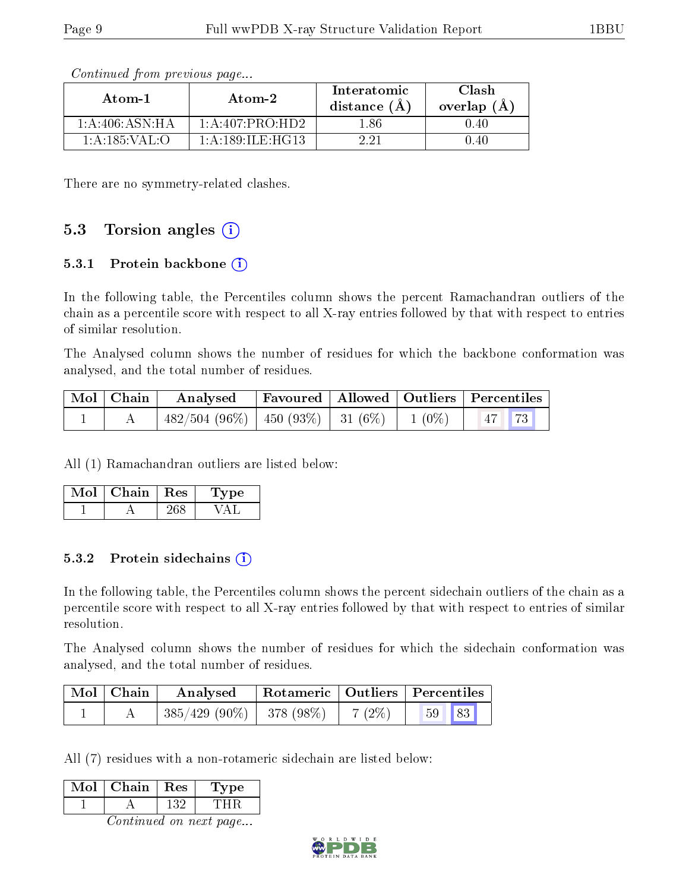| $\bold{Atom\text{-}2}$<br>Atom-1 |                     | Interatomic<br>distance $(A)$ | Clash<br>overlap $(A)$ |
|----------------------------------|---------------------|-------------------------------|------------------------|
| 1: A:406: ASN:HA                 | 1:A:407:PRO:HD2     | 1.86                          | ገ 4በ                   |
| 1: A: 185: VAL: O                | 1: A:189: ILE: HG13 |                               | -40                    |

Continued from previous page...

There are no symmetry-related clashes.

#### 5.3 Torsion angles  $(i)$

#### 5.3.1 Protein backbone  $(i)$

In the following table, the Percentiles column shows the percent Ramachandran outliers of the chain as a percentile score with respect to all X-ray entries followed by that with respect to entries of similar resolution.

The Analysed column shows the number of residues for which the backbone conformation was analysed, and the total number of residues.

|  | $\boxed{\text{Mol}}$ Chain Analysed                                | Favoured   Allowed   Outliers   Percentiles |  |  |
|--|--------------------------------------------------------------------|---------------------------------------------|--|--|
|  | $^{\prime}$ 482/504 (96%)   450 (93%)   31 (6%)   1 (0%)   47   73 |                                             |  |  |

All (1) Ramachandran outliers are listed below:

| $Mol$   Chain   Res | Type |
|---------------------|------|
|                     |      |

#### 5.3.2 Protein sidechains  $(i)$

In the following table, the Percentiles column shows the percent sidechain outliers of the chain as a percentile score with respect to all X-ray entries followed by that with respect to entries of similar resolution.

The Analysed column shows the number of residues for which the sidechain conformation was analysed, and the total number of residues.

| Mol   Chain | Analysed                             |  | Rotameric   Outliers   Percentiles |  |
|-------------|--------------------------------------|--|------------------------------------|--|
|             | $385/429$ (90%)   378 (98%)   7 (2%) |  | 59 83                              |  |

All (7) residues with a non-rotameric sidechain are listed below:

| l n | Chain | Res | Type |
|-----|-------|-----|------|
|     |       |     |      |
|     |       |     |      |

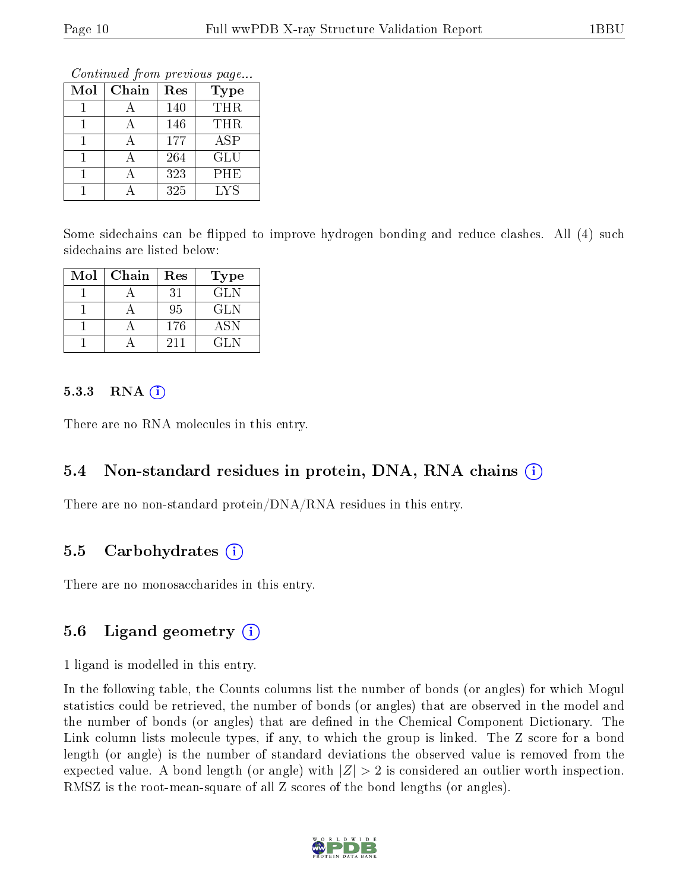Continued from previous page...

| Mol | Chain | Res | <b>Type</b> |
|-----|-------|-----|-------------|
|     |       | 140 | <b>THR</b>  |
|     |       | 146 | <b>THR</b>  |
|     |       | 177 | ASP         |
|     |       | 264 | <b>GLU</b>  |
|     |       | 323 | PHE         |
|     |       | 325 | LYS         |

Some sidechains can be flipped to improve hydrogen bonding and reduce clashes. All (4) such sidechains are listed below:

| Mol | Chain | Res | Type       |
|-----|-------|-----|------------|
|     |       | 31  | GLN        |
|     |       | 95  | GL N       |
|     |       | 176 | <b>ASN</b> |
|     |       | 211 | GL N       |

#### 5.3.3 RNA  $(i)$

There are no RNA molecules in this entry.

#### 5.4 Non-standard residues in protein, DNA, RNA chains (i)

There are no non-standard protein/DNA/RNA residues in this entry.

#### 5.5 Carbohydrates (i)

There are no monosaccharides in this entry.

### 5.6 Ligand geometry  $(i)$

1 ligand is modelled in this entry.

In the following table, the Counts columns list the number of bonds (or angles) for which Mogul statistics could be retrieved, the number of bonds (or angles) that are observed in the model and the number of bonds (or angles) that are defined in the Chemical Component Dictionary. The Link column lists molecule types, if any, to which the group is linked. The Z score for a bond length (or angle) is the number of standard deviations the observed value is removed from the expected value. A bond length (or angle) with  $|Z| > 2$  is considered an outlier worth inspection. RMSZ is the root-mean-square of all Z scores of the bond lengths (or angles).

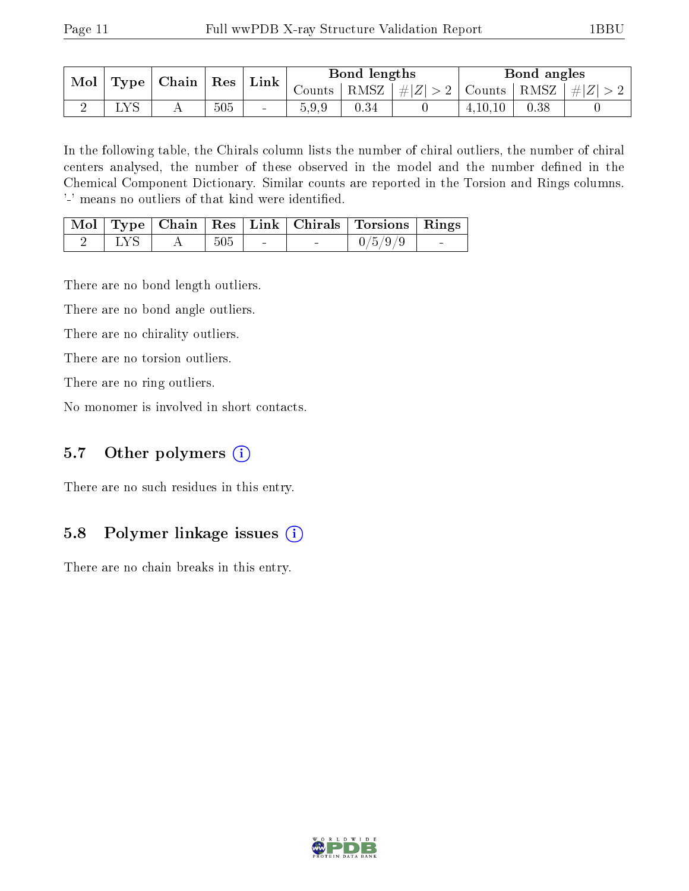| $\bf{Mol}$ | $\Gamma$ ype | Chain | $\mid$ Res $\mid$ | $\mid$ Link $\mid$ |       | Bond lengths                             |  |         | Bond angles        |  |
|------------|--------------|-------|-------------------|--------------------|-------|------------------------------------------|--|---------|--------------------|--|
|            |              |       |                   |                    |       | Counts   RMSZ $\mid \#  Z  > 2$   Counts |  |         | RMSZ   $\# Z  > 2$ |  |
|            |              |       | 505               | $\sim$             | 5.9.9 | 0.34                                     |  | 4,10,10 | 0.38               |  |

In the following table, the Chirals column lists the number of chiral outliers, the number of chiral centers analysed, the number of these observed in the model and the number defined in the Chemical Component Dictionary. Similar counts are reported in the Torsion and Rings columns. '-' means no outliers of that kind were identified.

|             |     |                          | Mol   Type   Chain   Res   Link   Chirals   Torsions   Rings |  |
|-------------|-----|--------------------------|--------------------------------------------------------------|--|
| $\perp$ LYS | 505 | <b>Contract Contract</b> | 0/5/9/9                                                      |  |

There are no bond length outliers.

There are no bond angle outliers.

There are no chirality outliers.

There are no torsion outliers.

There are no ring outliers.

No monomer is involved in short contacts.

### 5.7 [O](https://www.wwpdb.org/validation/2017/XrayValidationReportHelp#nonstandard_residues_and_ligands)ther polymers (i)

There are no such residues in this entry.

### 5.8 Polymer linkage issues (i)

There are no chain breaks in this entry.

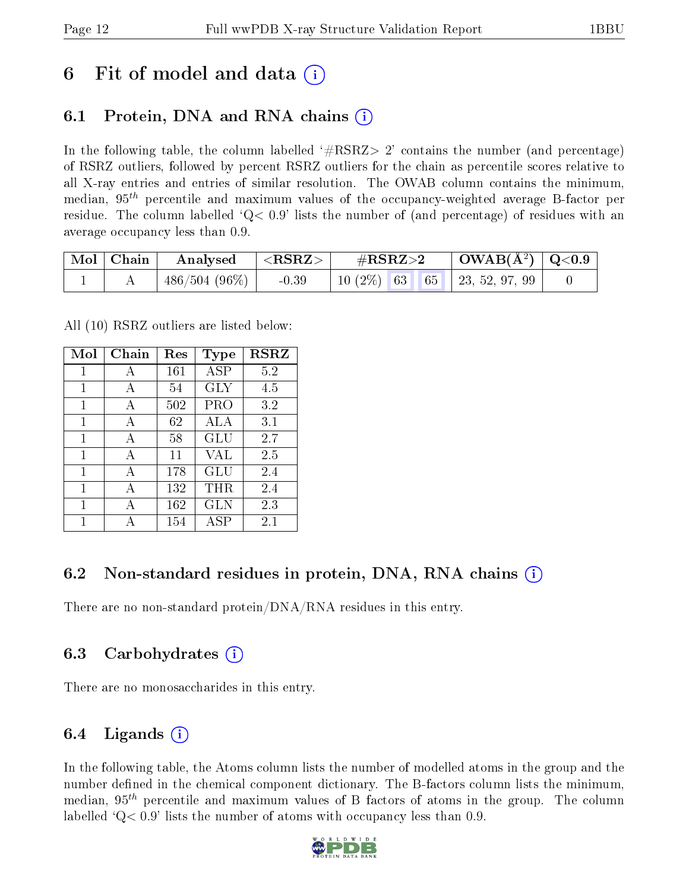## 6 Fit of model and data  $\left( \cdot \right)$

### 6.1 Protein, DNA and RNA chains (i)

In the following table, the column labelled  $#RSRZ>2'$  contains the number (and percentage) of RSRZ outliers, followed by percent RSRZ outliers for the chain as percentile scores relative to all X-ray entries and entries of similar resolution. The OWAB column contains the minimum, median,  $95<sup>th</sup>$  percentile and maximum values of the occupancy-weighted average B-factor per residue. The column labelled  $Q< 0.9$  lists the number of (and percentage) of residues with an average occupancy less than 0.9.

| Mol   Chain | Analysed         | ${ <\hspace{-1.5pt} {\rm RSRZ}\hspace{-1.5pt}>}$ | $\#\mathrm{RSRZ}{>}2$                 | $\mid$ OWAB( $A^2$ ) $\mid$ Q<0.9 |  |
|-------------|------------------|--------------------------------------------------|---------------------------------------|-----------------------------------|--|
|             | $-486/504(96\%)$ | $-0.39$                                          | 10 $(2\%)$   63   65   23, 52, 97, 99 |                                   |  |

All (10) RSRZ outliers are listed below:

| Mol          | Chain | Res | <b>Type</b> | <b>RSRZ</b> |
|--------------|-------|-----|-------------|-------------|
| 1            | А     | 161 | ASP         | 5.2         |
| $\mathbf{1}$ | A     | 54  | GLY         | 4.5         |
| 1            | A     | 502 | PRO         | 3.2         |
| 1            | A     | 62  | ALA         | 3.1         |
| 1            | A     | 58  | GLU         | 2.7         |
| 1            | A     | 11  | VAL         | 2.5         |
| 1            | A     | 178 | GLU         | 2.4         |
| 1            | A     | 132 | $\rm THR$   | 2.4         |
| 1            |       | 162 | GLN         | 2.3         |
| 1            |       | 154 | ASP         | $2.1\,$     |

### 6.2 Non-standard residues in protein, DNA, RNA chains (i)

There are no non-standard protein/DNA/RNA residues in this entry.

### 6.3 Carbohydrates (i)

There are no monosaccharides in this entry.

### 6.4 Ligands  $(i)$

In the following table, the Atoms column lists the number of modelled atoms in the group and the number defined in the chemical component dictionary. The B-factors column lists the minimum, median,  $95<sup>th</sup>$  percentile and maximum values of B factors of atoms in the group. The column labelled  $Q< 0.9$ ' lists the number of atoms with occupancy less than 0.9.